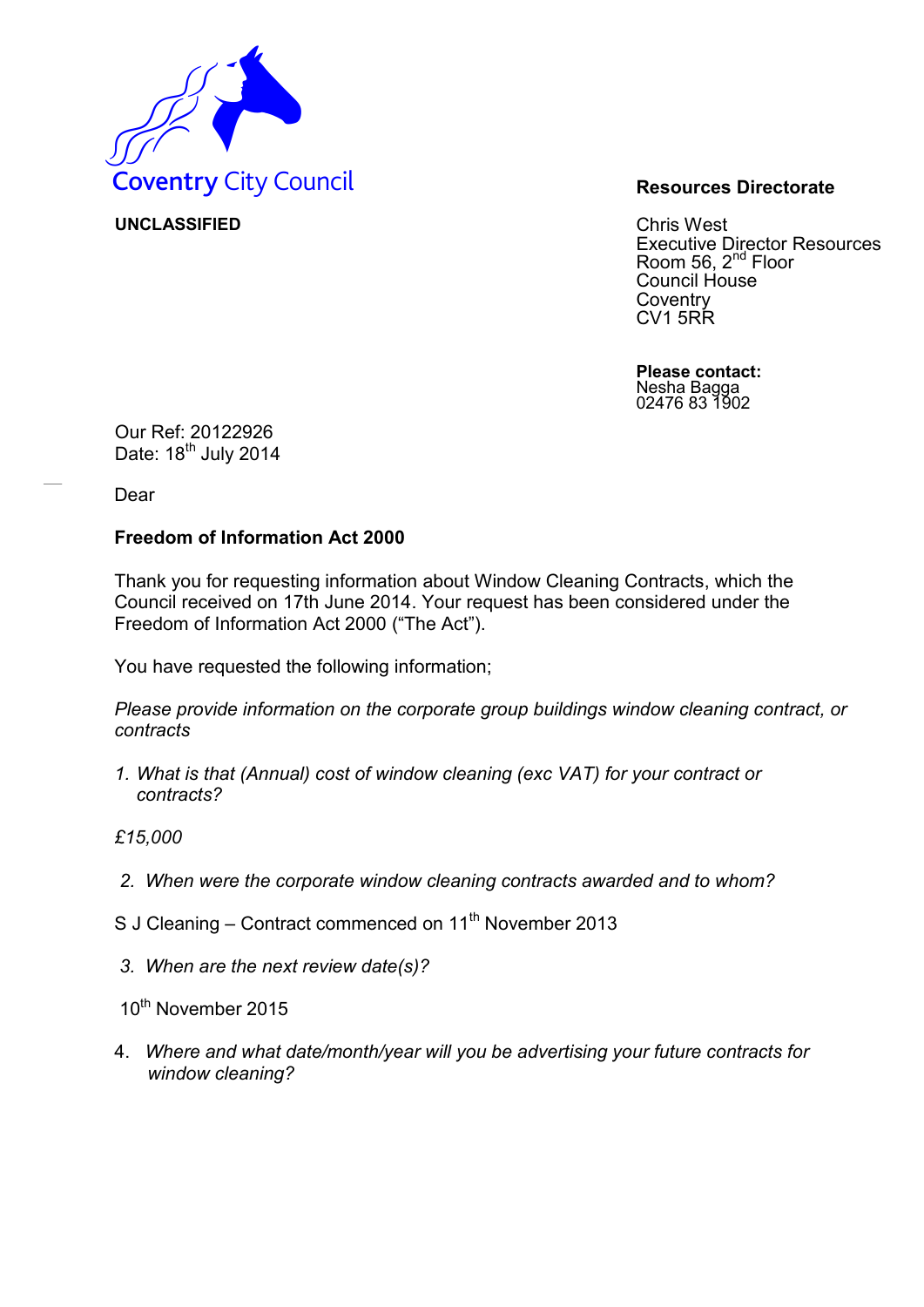

**UNCLASSIFIED** Chris West Executive Director Resources Room 56, 2<sup>nd</sup> Floor Council House **Coventry** CV1 5RR

> **Please contact:** Nesha Bagga 02476 83 1902

Our Ref: 20122926 Date: 18<sup>th</sup> July 2014

Dear

## **Freedom of Information Act 2000**

Thank you for requesting information about Window Cleaning Contracts, which the Council received on 17th June 2014. Your request has been considered under the Freedom of Information Act 2000 ("The Act").

You have requested the following information;

*Please provide information on the corporate group buildings window cleaning contract, or contracts* 

*1. What is that (Annual) cost of window cleaning (exc VAT) for your contract or contracts?* 

*£15,000* 

- *2. When were the corporate window cleaning contracts awarded and to whom?*
- S J Cleaning Contract commenced on  $11<sup>th</sup>$  November 2013
- *3. When are the next review date(s)?*
- 10<sup>th</sup> November 2015
- 4. *Where and what date/month/year will you be advertising your future contracts for window cleaning?*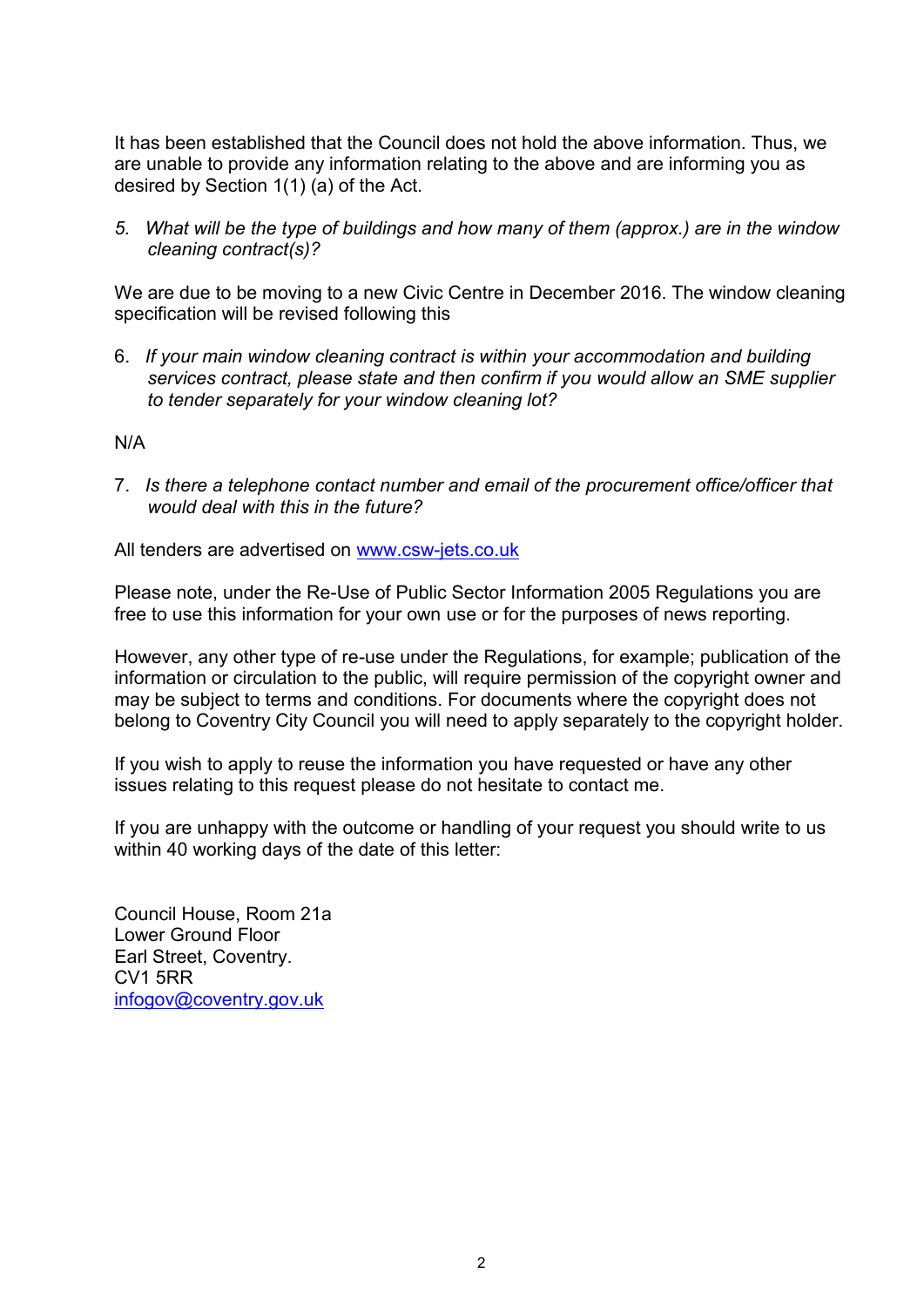It has been established that the Council does not hold the above information. Thus, we are unable to provide any information relating to the above and are informing you as desired by Section 1(1) (a) of the Act.

*5. What will be the type of buildings and how many of them (approx.) are in the window cleaning contract(s)?* 

We are due to be moving to a new Civic Centre in December 2016. The window cleaning specification will be revised following this

6. *If your main window cleaning contract is within your accommodation and building services contract, please state and then confirm if you would allow an SME supplier to tender separately for your window cleaning lot?*

N/A

7. *Is there a telephone contact number and email of the procurement office/officer that would deal with this in the future?*

All tenders are advertised on [www.csw-jets.co.uk](http://www.csw-jets.co.uk/)

Please note, under the Re-Use of Public Sector Information 2005 Regulations you are free to use this information for your own use or for the purposes of news reporting.

However, any other type of re-use under the Regulations, for example; publication of the information or circulation to the public, will require permission of the copyright owner and may be subject to terms and conditions. For documents where the copyright does not belong to Coventry City Council you will need to apply separately to the copyright holder.

If you wish to apply to reuse the information you have requested or have any other issues relating to this request please do not hesitate to contact me.

If you are unhappy with the outcome or handling of your request you should write to us within 40 working days of the date of this letter:

Council House, Room 21a Lower Ground Floor Earl Street, Coventry. CV1 5RR [infogov@coventry.gov.uk](mailto:infogov@coventry.gov.uk)